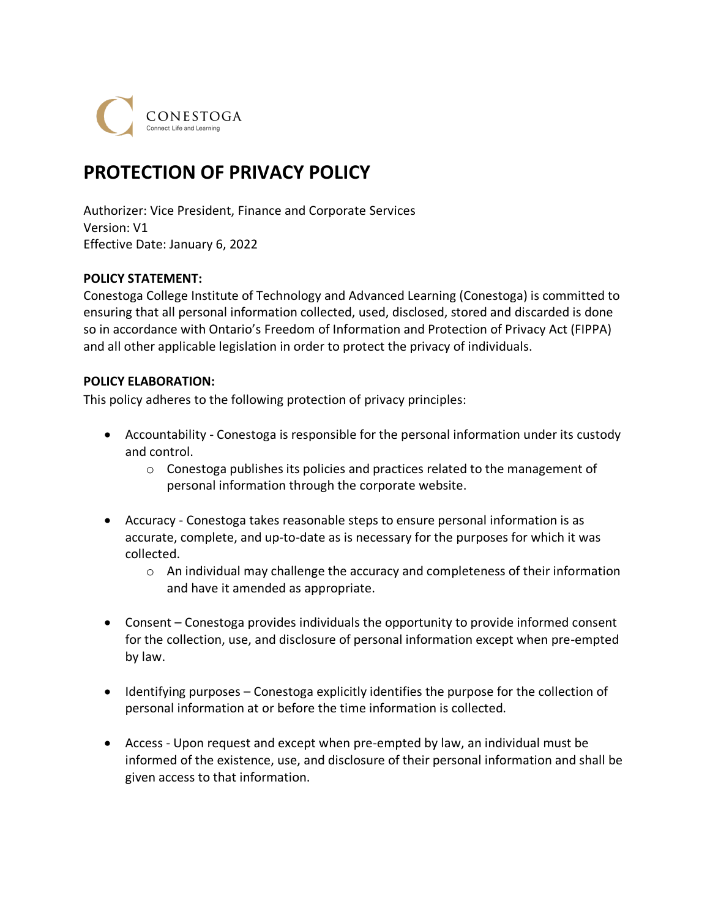CONESTOGA

# **PROTECTION OF PRIVACY POLICY**

Authorizer: Vice President, Finance and Corporate Services Version: V1 Effective Date: January 6, 2022

#### **POLICY STATEMENT:**

Conestoga College Institute of Technology and Advanced Learning (Conestoga) is committed to ensuring that all personal information collected, used, disclosed, stored and discarded is done so in accordance with Ontario's Freedom of Information and Protection of Privacy Act (FIPPA) and all other applicable legislation in order to protect the privacy of individuals.

#### **POLICY ELABORATION:**

This policy adheres to the following protection of privacy principles:

- Accountability Conestoga is responsible for the personal information under its custody and control.
	- $\circ$  Conestoga publishes its policies and practices related to the management of personal information through the corporate website.
- Accuracy Conestoga takes reasonable steps to ensure personal information is as accurate, complete, and up-to-date as is necessary for the purposes for which it was collected.
	- $\circ$  An individual may challenge the accuracy and completeness of their information and have it amended as appropriate.
- Consent Conestoga provides individuals the opportunity to provide informed consent for the collection, use, and disclosure of personal information except when pre-empted by law.
- Identifying purposes Conestoga explicitly identifies the purpose for the collection of personal information at or before the time information is collected.
- Access Upon request and except when pre-empted by law, an individual must be informed of the existence, use, and disclosure of their personal information and shall be given access to that information.